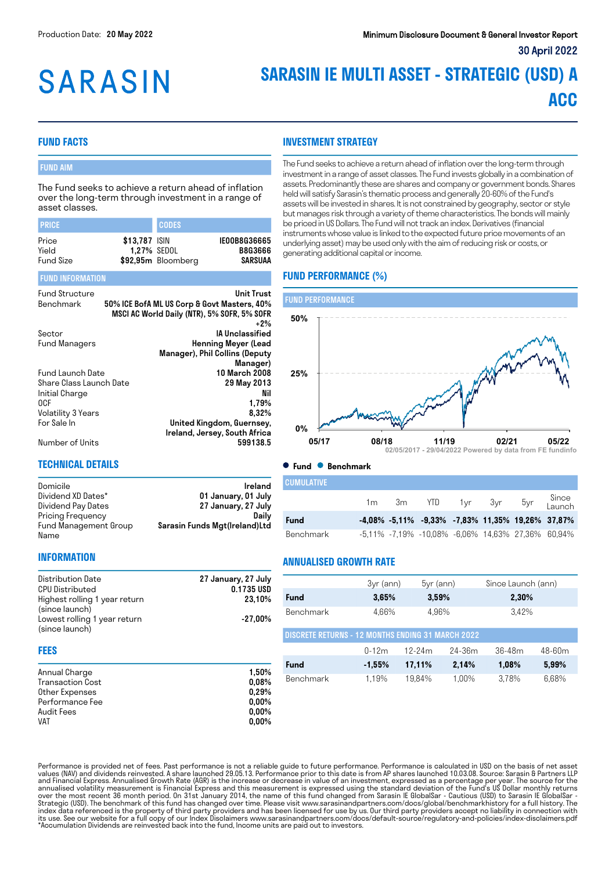# **SARASIN**

### **SARASIN IE MULTI ASSET - STRATEGIC (USD) A ACC**

#### **FUND FACTS**

FUND INFORMATION

#### FUND AIM

The Fund seeks to achieve a return ahead of inflation over the long-term through investment in a range of asset classes.

| <b>PRICE</b>                       |                                     | <b>CODES</b>       |                                           |
|------------------------------------|-------------------------------------|--------------------|-------------------------------------------|
| Price<br>Yield<br><b>Fund Size</b> | \$13,787 ISIN<br><b>1.27% SEDOL</b> | \$92,95m Bloomberg | IE00B8G36665<br><b>B8G3666</b><br>SARSUAA |

#### Fund Structure<br>Renchmark 50% ICE BofA MI US Corp & Govt Masters 40% 50% ICE BofA ML US Corp & Govt Masters, 40% MSCI AC World Daily (NTR), 5% SOFR, 5% SOFR +2% Sector **IA Unclassified**<br>Fund Managers **IA Unclassified Europe Clead** Henning Meyer (Lead Manager), Phil Collins (Deputy Manager) Fund Launch Date 10 March 2008 Share Class Launch Date انا المساحة التي تحت التي تحت التي تحت التي تحت التي تحت التي تحت التي تحت التي تحت التي تحت التي تحت التي تح<br>1,79% عند التي يتم التي تحت التي تحت التي تحت التي تحت التي تحت التي يتم التي تحت التي تحت التي تحت التي تحت ا  $0CF$  1,79% Volatility 3 Years<br>For Sale In Basic Book of Multed Kingdom, Guernsey, United Kingdom, Guernsey, Ireland, Jersey, South Africa Number of Units 599138.5

#### **INVESTMENT STRATEGY**

The Fund seeks to achieve a return ahead of inflation over the long-term through investment in a range of asset classes. The Fund invests globally in a combination of assets. Predominantly these are shares and company or government bonds. Shares held will satisfy Sarasin's thematic process and generally 20-60% of the Fund's assets will be invested in shares. It is not constrained by geography, sector or style but manages risk through a variety of theme characteristics. The bonds will mainly be priced in US Dollars. The Fund will not track an index. Derivatives (financial instruments whose value is linked to the expected future price movements of an underlying asset) may be used only with the aim of reducing risk or costs, or generating additional capital or income.

### **FUND PERFORMANCE (%)**



#### **TECHNICAL DETAILS**

| Domicile              | Ireland                       |
|-----------------------|-------------------------------|
| Dividend XD Dates*    | 01 January, 01 July           |
| Dividend Pay Dates    | 27 January, 27 July           |
| Pricing Frequency     | Daily                         |
| Fund Management Group | Sarasin Funds Mgt(Ireland)Ltd |
| Name                  |                               |

**CUMULATIVE** 

1m 3m YTD 1yr 3yr 5yr <sup>Since</sup> Launch **Fund -4,08% -5,11% -9,33% -7,83% 11,35% 19,26% 37,87%** Benchmark -5,11% -7,19% -10,08% -6,06% 14,63% 27,36% 60,94%

#### **INFORMATION**

| Distribution Date             | 27 January, 27 July |
|-------------------------------|---------------------|
| <b>CPU Distributed</b>        | 0.1735 USD          |
| Highest rolling 1 year return | 23.10%              |
| (since launch)                |                     |
| Lowest rolling 1 year return  | $-27.00\%$          |
| (since launch)                |                     |

#### **FEES**

| Annual Charge    | 1.50%    |
|------------------|----------|
| Transaction Cost | 0.08%    |
| Other Expenses   | 0.29%    |
| Performance Fee  | $0.00\%$ |
| Audit Fees       | $0.00\%$ |
| <b>VAT</b>       | $0.00\%$ |

#### **ANNUALISED GROWTH RATE**

|                                                          | 3yr (ann) | $5\nu r$ (ann) |            | Since Launch (ann) |            |  |  |
|----------------------------------------------------------|-----------|----------------|------------|--------------------|------------|--|--|
| Fund                                                     | 3,65%     | 3,59%          |            | 2,30%              |            |  |  |
| <b>Benchmark</b>                                         | 4.66%     | 4.96%          |            | 3.42%              |            |  |  |
| <b>DISCRETE RETURNS - 12 MONTHS ENDING 31 MARCH 2022</b> |           |                |            |                    |            |  |  |
|                                                          | $0-12m$   | $12-24m$       | $24 - 36m$ | $36-48m$           | $48 - 60m$ |  |  |
| Fund                                                     | $-1,55%$  | 17,11%         | 2,14%      | 1,08%              | 5,99%      |  |  |
| <b>Benchmark</b>                                         | 1.19%     | 19,84%         | 1,00%      | 3.78%              | 6,68%      |  |  |
|                                                          |           |                |            |                    |            |  |  |
|                                                          |           |                |            |                    |            |  |  |

Performance is provided net of fees. Past performance is not a reliable guide to future performance. Performance is calculated in USD on the basis of net asset values (NAV) and dividends reinvested. A share launched 29.05.13. Performance prior to this date is from AP shares launched 10.03.08. Source: Sarasin & Partners LLP<br>and Financial Express. Annualised Growth Rate (AGR) is th over the most recent 36 month period. On 31st January 2014, the name of this fund changed from Sarasin IE GlobalSar - Cautious (USD) to Sarasin IE GlobalSar -<br>Strategic (USD). The benchmark of this fund has changed over ti index data referenced is the property of third party providers and has been licensed for use by us. Our third party providers accept no liability in connection with<br>its use. See our website for a full copy of our Index Dis \*Accumulation Dividends are reinvested back into the fund, Income units are paid out to investors.